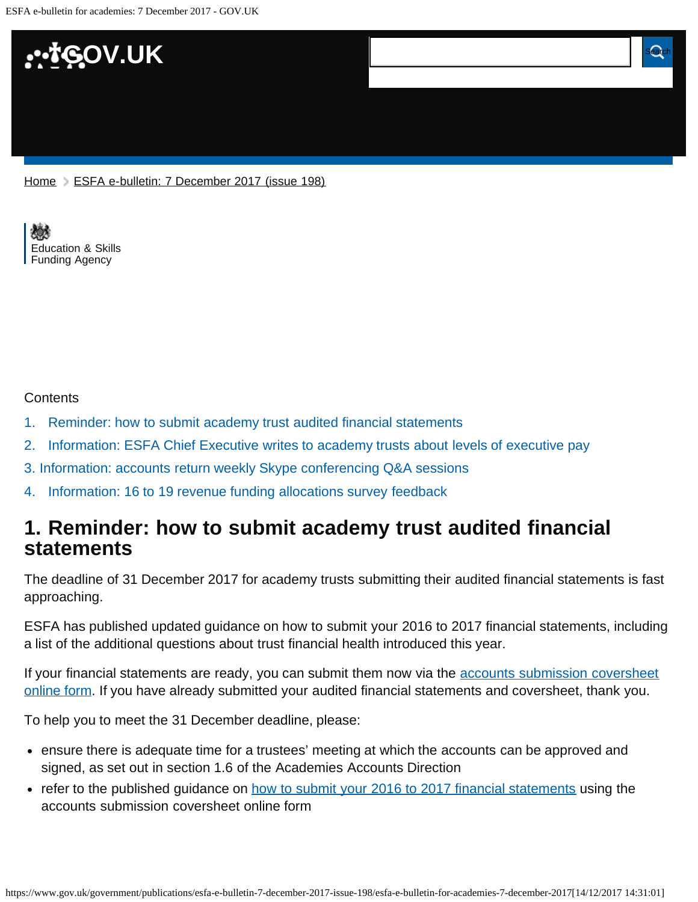

[Education & Skills](https://www.gov.uk/government/organisations/education-and-skills-funding-agency)  [Funding Agency](https://www.gov.uk/government/organisations/education-and-skills-funding-agency)

#### **Contents**

- [1.](#page-0-0) [Reminder: how to submit academy trust audited financial statements](#page-0-0)
- [2.](#page-1-0) [Information: ESFA Chief Executive writes to academy trusts about levels of executive pay](#page-1-0)
- [3. Information: accounts return weekly Skype conferencing Q&A sessions](#page-1-1)
- [4.](#page-1-2) [Information: 16 to 19 revenue funding allocations survey feedback](#page-1-2)

## <span id="page-0-0"></span>**1. Reminder: how to submit academy trust audited financial statements**

The deadline of 31 December 2017 for academy trusts submitting their audited financial statements is fast approaching.

ESFA has published updated guidance on how to submit your 2016 to 2017 financial statements, including a list of the additional questions about trust financial health introduced this year.

If your financial statements are ready, you can submit them now via the [accounts submission coversheet](https://www.gov.uk/guidance/academies-accounts-direction#submit-your-2016-to-2017-financial-statements) [online form](https://www.gov.uk/guidance/academies-accounts-direction#submit-your-2016-to-2017-financial-statements). If you have already submitted your audited financial statements and coversheet, thank you.

To help you to meet the 31 December deadline, please:

- ensure there is adequate time for a trustees' meeting at which the accounts can be approved and signed, as set out in section 1.6 of the Academies Accounts Direction
- refer to the published guidance on [how to submit your 2016 to 2017 financial statements](https://www.gov.uk/guidance/academies-accounts-direction#submit-your-2016-to-2017-financial-statements) using the accounts submission coversheet online form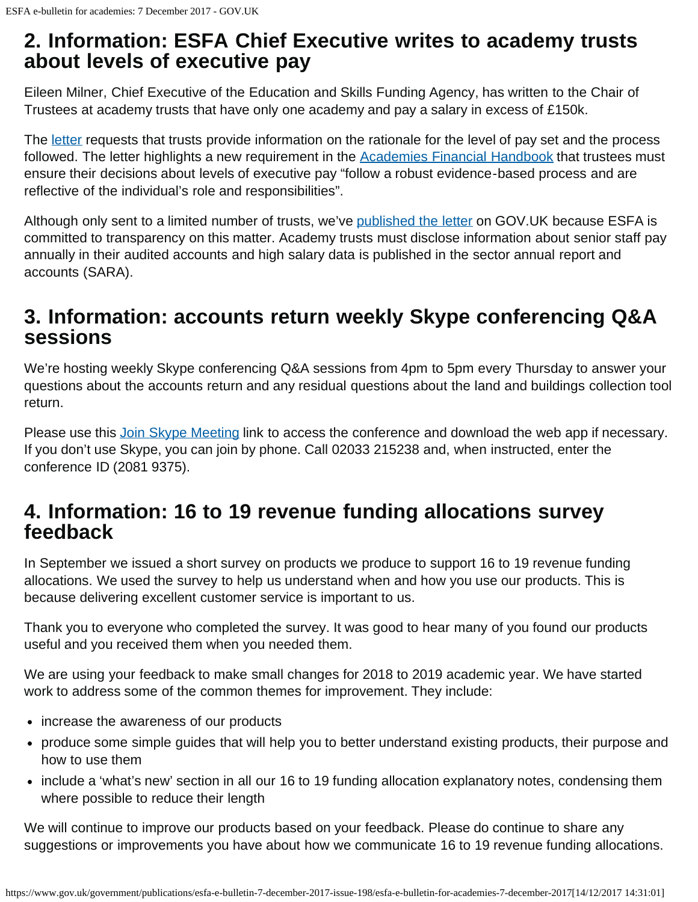## <span id="page-1-0"></span>**2. Information: ESFA Chief Executive writes to academy trusts about levels of executive pay**

Eileen Milner, Chief Executive of the Education and Skills Funding Agency, has written to the Chair of Trustees at academy trusts that have only one academy and pay a salary in excess of £150k.

The [letter](https://www.gov.uk/government/publications/letters-to-academy-trusts-about-levels-of-executive-pay) requests that trusts provide information on the rationale for the level of pay set and the process followed. The letter highlights a new requirement in the [Academies Financial Handbook](https://www.gov.uk/government/publications/academies-financial-handbook) that trustees must ensure their decisions about levels of executive pay "follow a robust evidence-based process and are reflective of the individual's role and responsibilities".

Although only sent to a limited number of trusts, we've [published the letter](https://www.gov.uk/government/publications/letters-to-academy-trusts-about-levels-of-executive-pay) on GOV. UK because ESFA is committed to transparency on this matter. Academy trusts must disclose information about senior staff pay annually in their audited accounts and high salary data is published in the sector annual report and accounts (SARA).

## <span id="page-1-1"></span>**3. Information: accounts return weekly Skype conferencing Q&A sessions**

We're hosting weekly Skype conferencing Q&A sessions from 4pm to 5pm every Thursday to answer your questions about the accounts return and any residual questions about the land and buildings collection tool return.

Please use this [Join Skype Meeting](https://meet.lync.com/educationgovuk/bethan.jones/BG7JHBZ2) link to access the conference and download the web app if necessary. If you don't use Skype, you can join by phone. Call 02033 215238 and, when instructed, enter the conference ID (2081 9375).

# <span id="page-1-2"></span>**4. Information: 16 to 19 revenue funding allocations survey feedback**

In September we issued a short survey on products we produce to support 16 to 19 revenue funding allocations. We used the survey to help us understand when and how you use our products. This is because delivering excellent customer service is important to us.

Thank you to everyone who completed the survey. It was good to hear many of you found our products useful and you received them when you needed them.

We are using your feedback to make small changes for 2018 to 2019 academic year. We have started work to address some of the common themes for improvement. They include:

- increase the awareness of our products
- produce some simple guides that will help you to better understand existing products, their purpose and how to use them
- include a 'what's new' section in all our 16 to 19 funding allocation explanatory notes, condensing them where possible to reduce their length

We will continue to improve our products based on your feedback. Please do continue to share any suggestions or improvements you have about how we communicate 16 to 19 revenue funding allocations.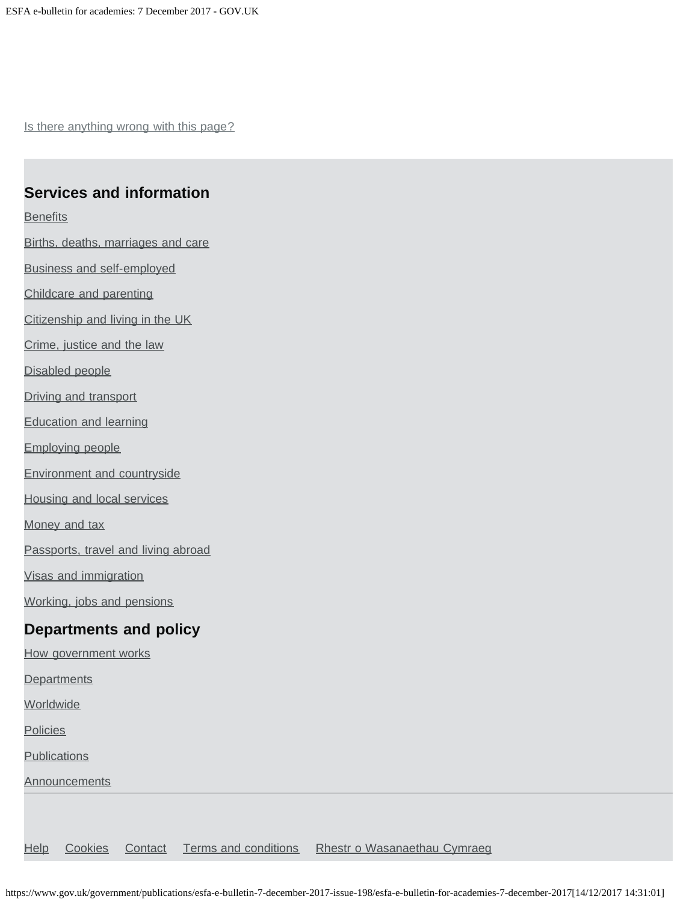Is there anything wrong with this page?

#### **Services and information**

**[Benefits](https://www.gov.uk/browse/benefits)** 

[Births, deaths, marriages and care](https://www.gov.uk/browse/births-deaths-marriages)

[Business and self-employed](https://www.gov.uk/browse/business)

[Childcare and parenting](https://www.gov.uk/browse/childcare-parenting)

[Citizenship and living in the UK](https://www.gov.uk/browse/citizenship)

[Crime, justice and the law](https://www.gov.uk/browse/justice)

[Disabled people](https://www.gov.uk/browse/disabilities)

[Driving and transport](https://www.gov.uk/browse/driving)

[Education and learning](https://www.gov.uk/browse/education)

[Employing people](https://www.gov.uk/browse/employing-people)

[Environment and countryside](https://www.gov.uk/browse/environment-countryside)

[Housing and local services](https://www.gov.uk/browse/housing-local-services)

[Money and tax](https://www.gov.uk/browse/tax)

[Passports, travel and living abroad](https://www.gov.uk/browse/abroad)

[Visas and immigration](https://www.gov.uk/browse/visas-immigration)

[Working, jobs and pensions](https://www.gov.uk/browse/working)

### **Departments and policy**

[How government works](https://www.gov.uk/government/how-government-works)

**[Departments](https://www.gov.uk/government/organisations)** 

**[Worldwide](https://www.gov.uk/world)** 

**[Policies](https://www.gov.uk/government/policies)** 

**[Publications](https://www.gov.uk/government/publications)** 

**[Announcements](https://www.gov.uk/government/announcements)** 

[Help](https://www.gov.uk/help) [Cookies](https://www.gov.uk/help/cookies) [Contact](https://www.gov.uk/contact) [Terms and conditions](https://www.gov.uk/help/terms-conditions) [Rhestr o Wasanaethau Cymraeg](https://www.gov.uk/cymraeg)